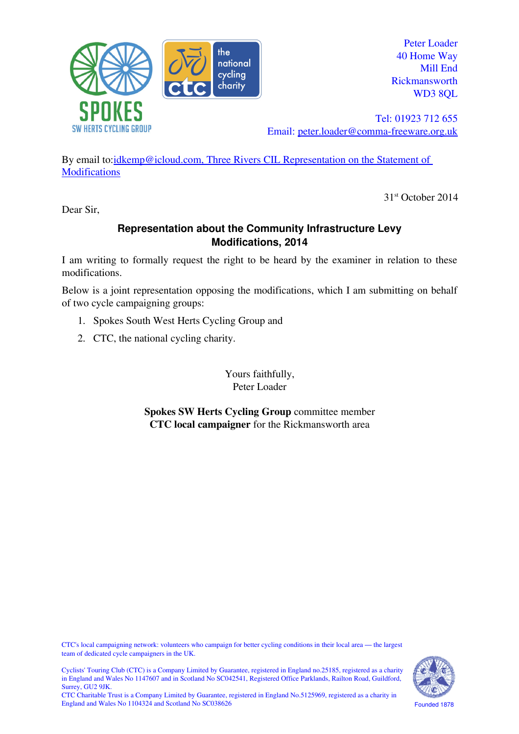

Peter Loader 40 Home Way Mill End Rickmansworth WD3 8OL

Tel: 01923 712 655 Email: [peter.loader@comma-freeware.org.uk](mailto:peter.loader@comma-freeware.org.uk)

By email to:*idkemp@icloud.com, Three Rivers CIL Representation on the Statement of* **[Modifications](mailto:idkemp@icloud.com?subject=Three%20Rivers%20CIL%20Representation%20on%20the%20Statement%20of%20Modifications)** 

31st October 2014

Dear Sir,

# **Representation about the Community Infrastructure Levy Modifications, 2014**

I am writing to formally request the right to be heard by the examiner in relation to these modifications.

Below is a joint representation opposing the modifications, which I am submitting on behalf of two cycle campaigning groups:

- 1. Spokes South West Herts Cycling Group and
- 2. CTC, the national cycling charity.

Yours faithfully, Peter Loader

**Spokes SW Herts Cycling Group** committee member **CTC local campaigner** for the Rickmansworth area

CTC's local campaigning network: volunteers who campaign for better cycling conditions in their local area — the largest team of dedicated cycle campaigners in the UK.





Founded 1878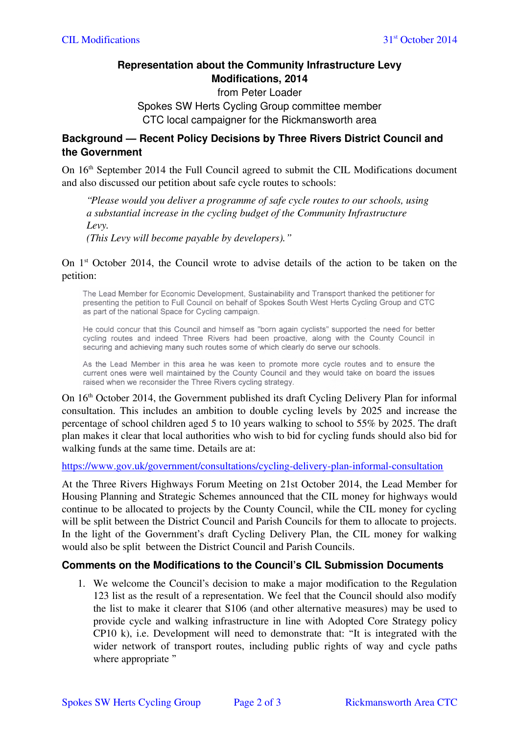# **Representation about the Community Infrastructure Levy Modifications, 2014**

### from Peter Loader Spokes SW Herts Cycling Group committee member CTC local campaigner for the Rickmansworth area

### **Background — Recent Policy Decisions by Three Rivers District Council and the Government**

On 16<sup>th</sup> September 2014 the Full Council agreed to submit the CIL Modifications document and also discussed our petition about safe cycle routes to schools:

*"Please would you deliver a programme of safe cycle routes to our schools, using a substantial increase in the cycling budget of the Community Infrastructure Levy.*

*(This Levy will become payable by developers)."*

#### On 1st October 2014, the Council wrote to advise details of the action to be taken on the petition:

The Lead Member for Economic Development, Sustainability and Transport thanked the petitioner for presenting the petition to Full Council on behalf of Spokes South West Herts Cycling Group and CTC as part of the national Space for Cycling campaign.

He could concur that this Council and himself as "born again cyclists" supported the need for better cycling routes and indeed Three Rivers had been proactive, along with the County Council in securing and achieving many such routes some of which clearly do serve our schools.

As the Lead Member in this area he was keen to promote more cycle routes and to ensure the current ones were well maintained by the County Council and they would take on board the issues raised when we reconsider the Three Rivers cycling strategy.

On 16th October 2014, the Government published its draft Cycling Delivery Plan for informal consultation. This includes an ambition to double cycling levels by 2025 and increase the percentage of school children aged 5 to 10 years walking to school to 55% by 2025. The draft plan makes it clear that local authorities who wish to bid for cycling funds should also bid for walking funds at the same time. Details are at:

<https://www.gov.uk/government/consultations/cycling-delivery-plan-informal-consultation>

At the Three Rivers Highways Forum Meeting on 21st October 2014, the Lead Member for Housing Planning and Strategic Schemes announced that the CIL money for highways would continue to be allocated to projects by the County Council, while the CIL money for cycling will be split between the District Council and Parish Councils for them to allocate to projects. In the light of the Government's draft Cycling Delivery Plan, the CIL money for walking would also be split between the District Council and Parish Councils.

# **Comments on the Modifications to the Council's CIL Submission Documents**

1. We welcome the Council's decision to make a major modification to the Regulation 123 list as the result of a representation. We feel that the Council should also modify the list to make it clearer that S106 (and other alternative measures) may be used to provide cycle and walking infrastructure in line with Adopted Core Strategy policy CP10 k), i.e. Development will need to demonstrate that: "It is integrated with the wider network of transport routes, including public rights of way and cycle paths where appropriate "